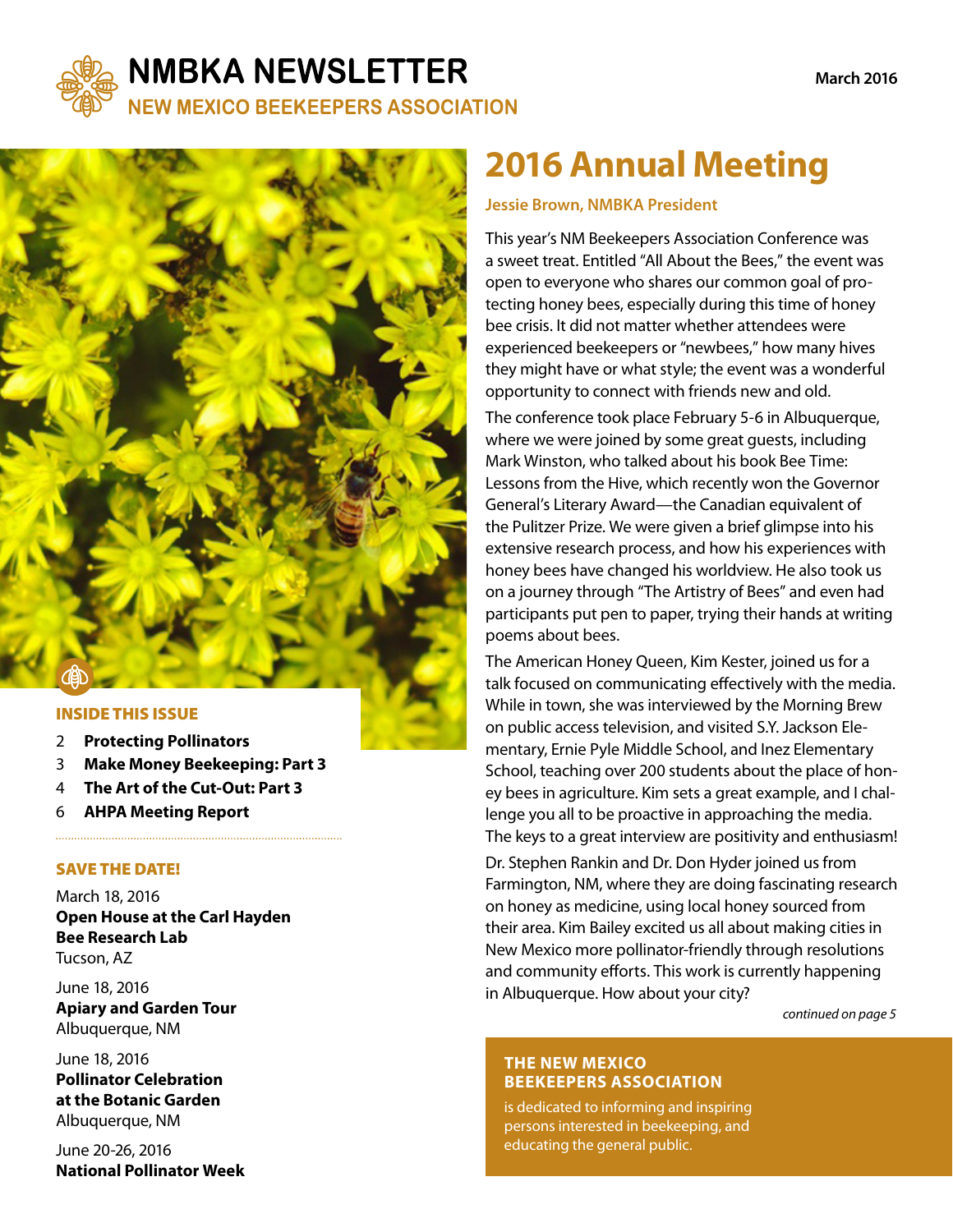

### **NMBKA NEWSLETTER NEW MEXICO BEEKEEPERS ASSOCIATION**

#### INSIDE THIS ISSUE

- 2 **Protecting Pollinators**
- 3 **Make Money Beekeeping: Part 3**

- 4 **The Art of the Cut-Out: Part 3**
- 6 **AHPA Meeting Report**

#### SAVE THE DATE!

March 18, 2016 **Open House at the Carl Hayden Bee Research Lab**  Tucson, AZ

June 18, 2016 **Apiary and Garden Tour** Albuquerque, NM

June 18, 2016 **Pollinator Celebration at the Botanic Garden** Albuquerque, NM

June 20-26, 2016 **National Pollinator Week** 

# **2016 Annual Meeting**

#### **Jessie Brown, NMBKA President**

This year's NM Beekeepers Association Conference was a sweet treat. Entitled "All About the Bees," the event was open to everyone who shares our common goal of protecting honey bees, especially during this time of honey bee crisis. It did not matter whether attendees were experienced beekeepers or "newbees," how many hives they might have or what style; the event was a wonderful opportunity to connect with friends new and old.

The conference took place February 5-6 in Albuquerque, where we were joined by some great guests, including Mark Winston, who talked about his book Bee Time: Lessons from the Hive, which recently won the Governor General's Literary Award—the Canadian equivalent of the Pulitzer Prize. We were given a brief glimpse into his extensive research process, and how his experiences with honey bees have changed his worldview. He also took us on a journey through "The Artistry of Bees" and even had participants put pen to paper, trying their hands at writing poems about bees.

The American Honey Queen, Kim Kester, joined us for a talk focused on communicating effectively with the media. While in town, she was interviewed by the Morning Brew on public access television, and visited S.Y. Jackson Elementary, Ernie Pyle Middle School, and Inez Elementary School, teaching over 200 students about the place of honey bees in agriculture. Kim sets a great example, and I challenge you all to be proactive in approaching the media. The keys to a great interview are positivity and enthusiasm!

Dr. Stephen Rankin and Dr. Don Hyder joined us from Farmington, NM, where they are doing fascinating research on honey as medicine, using local honey sourced from their area. Kim Bailey excited us all about making cities in New Mexico more pollinator-friendly through resolutions and community efforts. This work is currently happening in Albuquerque. How about your city?

*continued on page 5*

#### **THE NEW MEXICO BEEKEEPERS ASSOCIATION**

is dedicated to informing and inspiring persons interested in beekeeping, and educating the general public.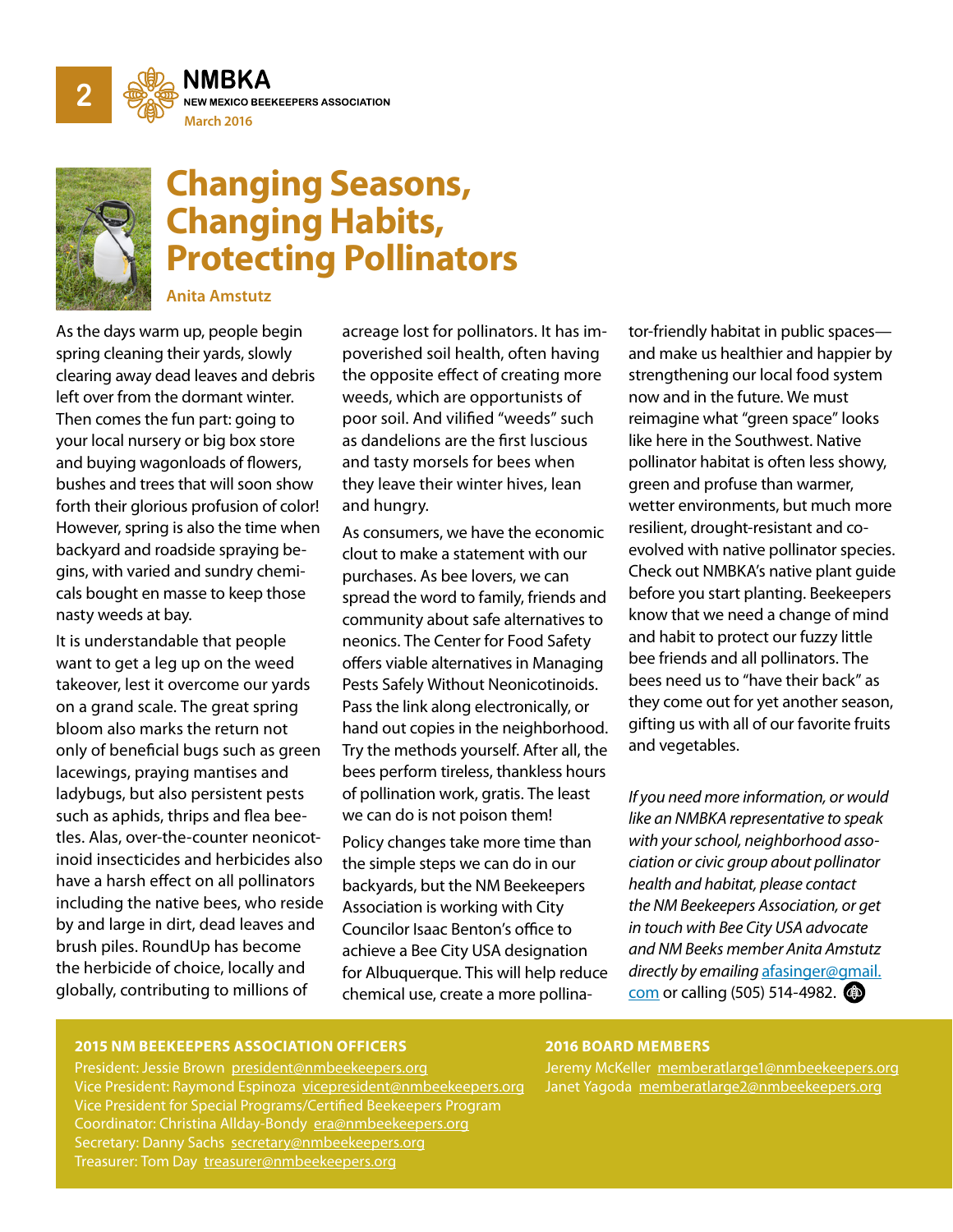



# **Changing Seasons, Changing Habits, Protecting Pollinators**

**Anita Amstutz**

As the days warm up, people begin spring cleaning their yards, slowly clearing away dead leaves and debris left over from the dormant winter. Then comes the fun part: going to your local nursery or big box store and buying wagonloads of flowers, bushes and trees that will soon show forth their glorious profusion of color! However, spring is also the time when backyard and roadside spraying begins, with varied and sundry chemicals bought en masse to keep those nasty weeds at bay.

It is understandable that people want to get a leg up on the weed takeover, lest it overcome our yards on a grand scale. The great spring bloom also marks the return not only of beneficial bugs such as green lacewings, praying mantises and ladybugs, but also persistent pests such as aphids, thrips and flea beetles. Alas, over-the-counter neonicotinoid insecticides and herbicides also have a harsh effect on all pollinators including the native bees, who reside by and large in dirt, dead leaves and brush piles. RoundUp has become the herbicide of choice, locally and globally, contributing to millions of

acreage lost for pollinators. It has impoverished soil health, often having the opposite effect of creating more weeds, which are opportunists of poor soil. And vilified "weeds" such as dandelions are the first luscious and tasty morsels for bees when they leave their winter hives, lean and hungry.

As consumers, we have the economic clout to make a statement with our purchases. As bee lovers, we can spread the word to family, friends and community about safe alternatives to neonics. The Center for Food Safety offers viable alternatives in Managing Pests Safely Without Neonicotinoids. Pass the link along electronically, or hand out copies in the neighborhood. Try the methods yourself. After all, the bees perform tireless, thankless hours of pollination work, gratis. The least we can do is not poison them!

Policy changes take more time than the simple steps we can do in our backyards, but the NM Beekeepers Association is working with City Councilor Isaac Benton's office to achieve a Bee City USA designation for Albuquerque. This will help reduce chemical use, create a more pollina-

**Photo: Melanie Kirby** resilient, drought-resistant and cotor-friendly habitat in public spaces and make us healthier and happier by strengthening our local food system now and in the future. We must reimagine what "green space" looks like here in the Southwest. Native pollinator habitat is often less showy, green and profuse than warmer, wetter environments, but much more evolved with native pollinator species. Check out NMBKA's native plant guide before you start planting. Beekeepers know that we need a change of mind and habit to protect our fuzzy little bee friends and all pollinators. The bees need us to "have their back" as they come out for yet another season, gifting us with all of our favorite fruits and vegetables.

*If you need more information, or would like an NMBKA representative to speak with your school, neighborhood association or civic group about pollinator health and habitat, please contact the NM Beekeepers Association, or get in touch with Bee City USA advocate and NM Beeks member Anita Amstutz directly by emailing* [afasinger@gmail.](mailto:afasinger%40gmail.com?subject=) [com](mailto:afasinger%40gmail.com?subject=) or calling (505) 514-4982.

#### **2015 NM BEEKEEPERS ASSOCIATION OFFICERS**

#### **2016 BOARD MEMBERS**

Jeremy McKeller [memberatlarge1@nmbeekeepers.org](mailto:memberatlarge1%40nmbeekeepers.org%20?subject=) Janet Yagoda [memberatlarge2@nmbeekeepers.org](mailto:memberatlarge2%40nmbeekeepers.org?subject=)

President: Jessie Brown [president@nmbeekeepers.org](mailto:president%40nmbeekeepers.org?subject=) Vice President: Raymond Espinoza [vicepresident@nmbeekeepers.org](mailto:vicepresident%40nmbeekeepers.org%20?subject=) Vice President for Special Programs/Certified Beekeepers Program Coordinator: Christina Allday-Bondy [era@nmbeekeepers.org](mailto:era%40nmbeekeepers.org%20?subject=) Secretary: Danny Sachs [secretary@nmbeekeepers.org](mailto:secretary%40nmbeekeepers.org%20?subject=) Treasurer: Tom Day [treasurer@nmbeekeepers.org](mailto:treasurer%40nmbeekeepers.org%20?subject=)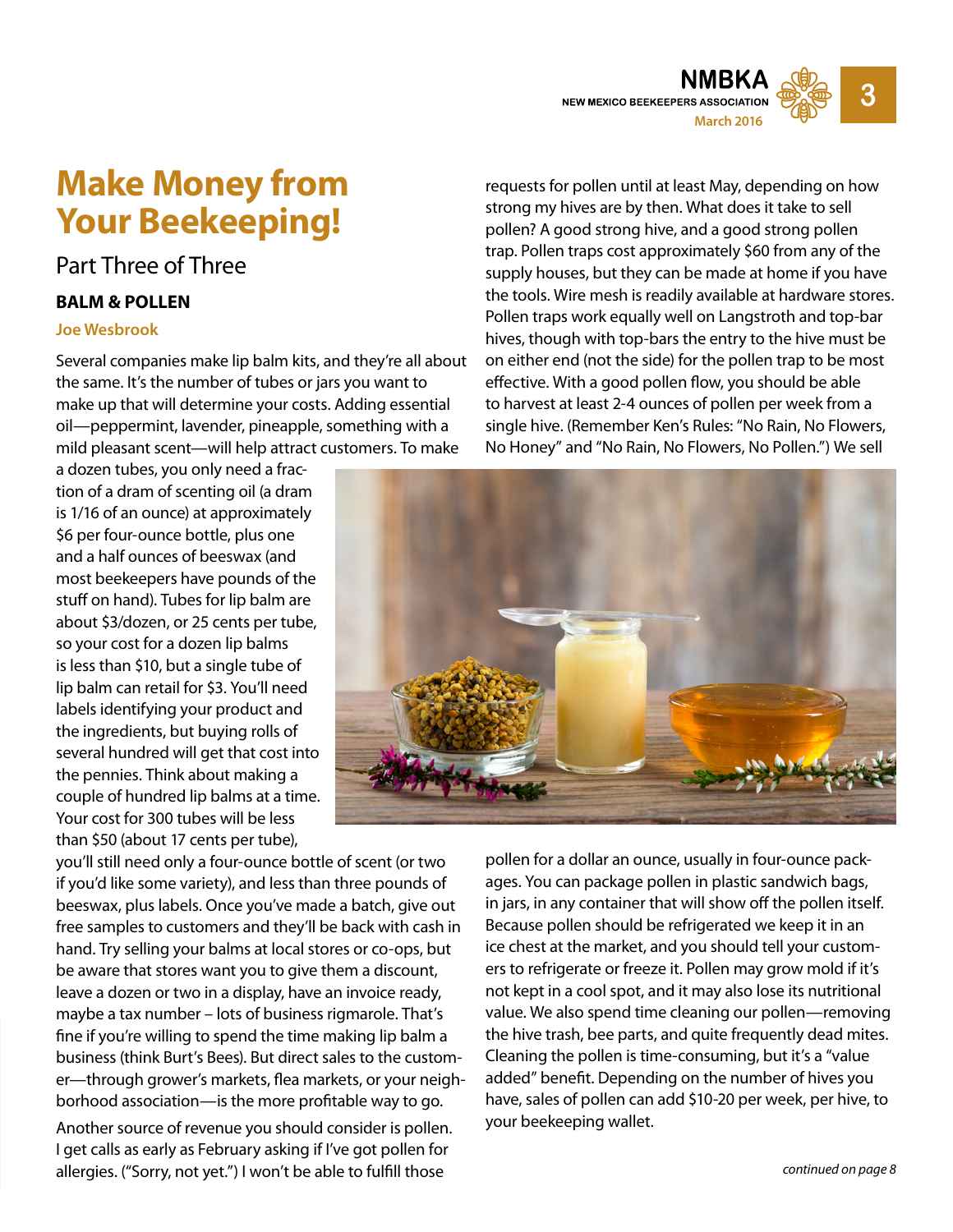

## **Make Money from Your Beekeeping!**

### Part Three of Three

#### **BALM & POLLEN**

#### **Joe Wesbrook**

Several companies make lip balm kits, and they're all about the same. It's the number of tubes or jars you want to make up that will determine your costs. Adding essential oil—peppermint, lavender, pineapple, something with a mild pleasant scent—will help attract customers. To make

a dozen tubes, you only need a fraction of a dram of scenting oil (a dram is 1/16 of an ounce) at approximately \$6 per four-ounce bottle, plus one and a half ounces of beeswax (and most beekeepers have pounds of the stuff on hand). Tubes for lip balm are about \$3/dozen, or 25 cents per tube, so your cost for a dozen lip balms is less than \$10, but a single tube of lip balm can retail for \$3. You'll need labels identifying your product and the ingredients, but buying rolls of several hundred will get that cost into the pennies. Think about making a couple of hundred lip balms at a time. Your cost for 300 tubes will be less than \$50 (about 17 cents per tube),

requests for pollen until at least May, depending on how strong my hives are by then. What does it take to sell pollen? A good strong hive, and a good strong pollen trap. Pollen traps cost approximately \$60 from any of the supply houses, but they can be made at home if you have the tools. Wire mesh is readily available at hardware stores. Pollen traps work equally well on Langstroth and top-bar hives, though with top-bars the entry to the hive must be on either end (not the side) for the pollen trap to be most effective. With a good pollen flow, you should be able to harvest at least 2-4 ounces of pollen per week from a single hive. (Remember Ken's Rules: "No Rain, No Flowers, No Honey" and "No Rain, No Flowers, No Pollen.") We sell



you'll still need only a four-ounce bottle of scent (or two if you'd like some variety), and less than three pounds of beeswax, plus labels. Once you've made a batch, give out free samples to customers and they'll be back with cash in hand. Try selling your balms at local stores or co-ops, but be aware that stores want you to give them a discount, leave a dozen or two in a display, have an invoice ready, maybe a tax number – lots of business rigmarole. That's fine if you're willing to spend the time making lip balm a business (think Burt's Bees). But direct sales to the customer—through grower's markets, flea markets, or your neighborhood association—is the more profitable way to go.

Another source of revenue you should consider is pollen. I get calls as early as February asking if I've got pollen for allergies. ("Sorry, not yet.") I won't be able to fulfill those

pollen for a dollar an ounce, usually in four-ounce packages. You can package pollen in plastic sandwich bags, in jars, in any container that will show off the pollen itself. Because pollen should be refrigerated we keep it in an ice chest at the market, and you should tell your customers to refrigerate or freeze it. Pollen may grow mold if it's not kept in a cool spot, and it may also lose its nutritional value. We also spend time cleaning our pollen—removing the hive trash, bee parts, and quite frequently dead mites. Cleaning the pollen is time-consuming, but it's a "value added" benefit. Depending on the number of hives you have, sales of pollen can add \$10-20 per week, per hive, to your beekeeping wallet.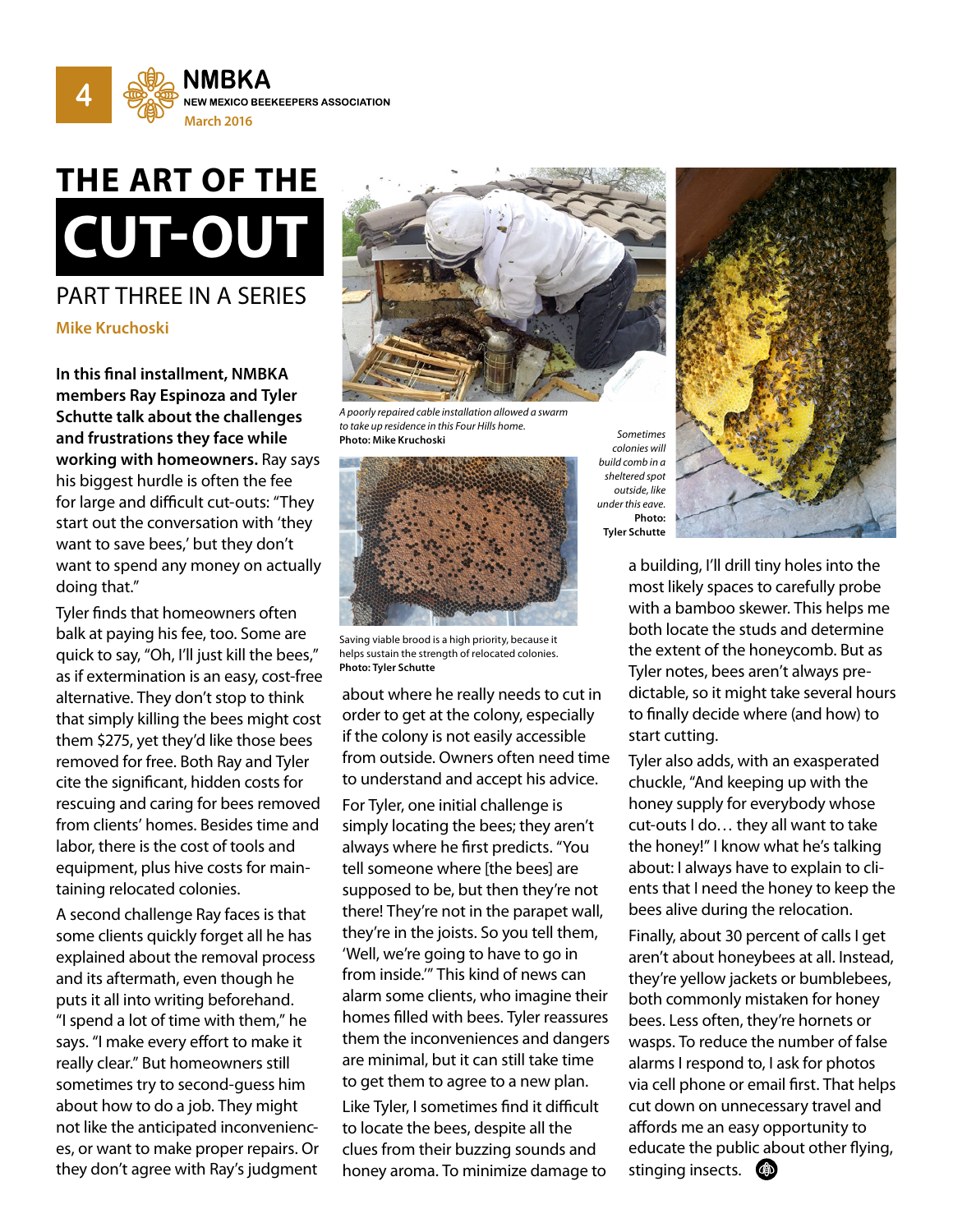

# **THE ART OF THE CUT-OUT**

### PART THREE IN A SERIES **Mike Kruchoski**

**In this final installment, NMBKA members Ray Espinoza and Tyler Schutte talk about the challenges and frustrations they face while working with homeowners.** Ray says his biggest hurdle is often the fee for large and difficult cut-outs: "They start out the conversation with 'they want to save bees,' but they don't want to spend any money on actually doing that."

Tyler finds that homeowners often balk at paying his fee, too. Some are quick to say, "Oh, I'll just kill the bees," as if extermination is an easy, cost-free alternative. They don't stop to think that simply killing the bees might cost them \$275, yet they'd like those bees removed for free. Both Ray and Tyler cite the significant, hidden costs for rescuing and caring for bees removed from clients' homes. Besides time and labor, there is the cost of tools and equipment, plus hive costs for maintaining relocated colonies.

A second challenge Ray faces is that some clients quickly forget all he has explained about the removal process and its aftermath, even though he puts it all into writing beforehand. "I spend a lot of time with them," he says. "I make every effort to make it really clear." But homeowners still sometimes try to second-guess him about how to do a job. They might not like the anticipated inconveniences, or want to make proper repairs. Or they don't agree with Ray's judgment



*A poorly repaired cable installation allowed a swarm to take up residence in this Four Hills home.*  **Photo: Mike Kruchoski** *Sometimes* 



Saving viable brood is a high priority, because it helps sustain the strength of relocated colonies. **Photo: Tyler Schutte**

about where he really needs to cut in order to get at the colony, especially if the colony is not easily accessible from outside. Owners often need time to understand and accept his advice.

For Tyler, one initial challenge is simply locating the bees; they aren't always where he first predicts. "You tell someone where [the bees] are supposed to be, but then they're not there! They're not in the parapet wall, they're in the joists. So you tell them, 'Well, we're going to have to go in from inside.'" This kind of news can alarm some clients, who imagine their homes filled with bees. Tyler reassures them the inconveniences and dangers are minimal, but it can still take time to get them to agree to a new plan. Like Tyler, I sometimes find it difficult to locate the bees, despite all the clues from their buzzing sounds and honey aroma. To minimize damage to

*colonies will build comb in a sheltered spot outside, like under this eave.* **Photo: Tyler Schutte**



a building, I'll drill tiny holes into the most likely spaces to carefully probe with a bamboo skewer. This helps me both locate the studs and determine the extent of the honeycomb. But as Tyler notes, bees aren't always predictable, so it might take several hours to finally decide where (and how) to start cutting.

Tyler also adds, with an exasperated chuckle, "And keeping up with the honey supply for everybody whose cut-outs I do… they all want to take the honey!" I know what he's talking about: I always have to explain to clients that I need the honey to keep the bees alive during the relocation.

Finally, about 30 percent of calls I get aren't about honeybees at all. Instead, they're yellow jackets or bumblebees, both commonly mistaken for honey bees. Less often, they're hornets or wasps. To reduce the number of false alarms I respond to, I ask for photos via cell phone or email first. That helps cut down on unnecessary travel and affords me an easy opportunity to educate the public about other flying, stinging insects. (4D)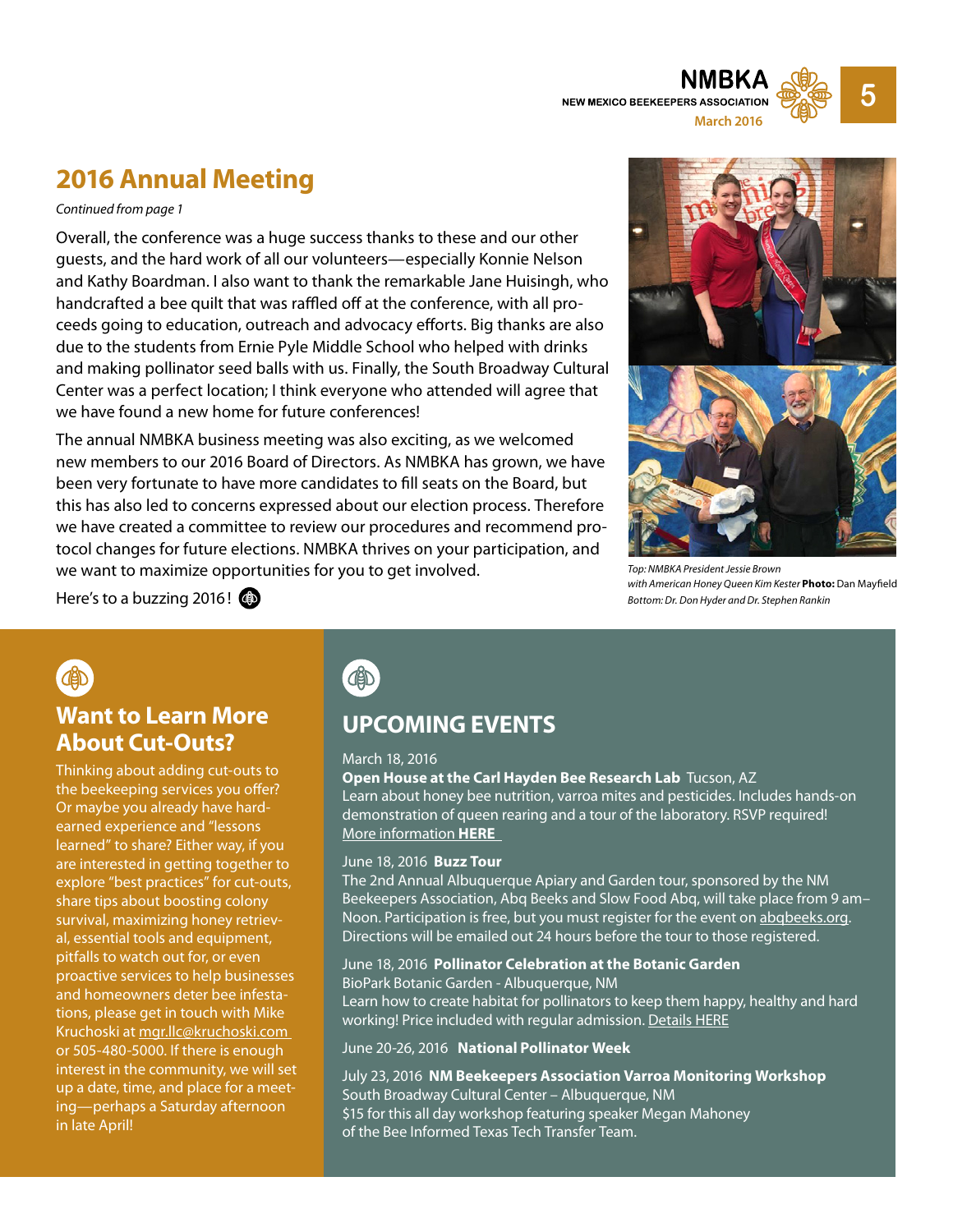

### **2016 Annual Meeting**

#### *Continued from page 1*

Overall, the conference was a huge success thanks to these and our other guests, and the hard work of all our volunteers—especially Konnie Nelson and Kathy Boardman. I also want to thank the remarkable Jane Huisingh, who handcrafted a bee quilt that was raffled off at the conference, with all proceeds going to education, outreach and advocacy efforts. Big thanks are also due to the students from Ernie Pyle Middle School who helped with drinks and making pollinator seed balls with us. Finally, the South Broadway Cultural Center was a perfect location; I think everyone who attended will agree that we have found a new home for future conferences!

The annual NMBKA business meeting was also exciting, as we welcomed new members to our 2016 Board of Directors. As NMBKA has grown, we have been very fortunate to have more candidates to fill seats on the Board, but this has also led to concerns expressed about our election process. Therefore we have created a committee to review our procedures and recommend protocol changes for future elections. NMBKA thrives on your participation, and we want to maximize opportunities for you to get involved.



*Top: NMBKA President Jessie Brown with American Honey Queen Kim Kester* **Photo:** Dan Mayfield *Bottom: Dr. Don Hyder and Dr. Stephen Rankin*

Here's to a buzzing 2016!

### **Want to Learn More About Cut-Outs?**

Thinking about adding cut-outs to the beekeeping services you offer? Or maybe you already have hardearned experience and "lessons learned" to share? Either way, if you are interested in getting together to explore "best practices" for cut-outs, share tips about boosting colony survival, maximizing honey retrieval, essential tools and equipment, pitfalls to watch out for, or even proactive services to help businesses and homeowners deter bee infestations, please get in touch with Mike Kruchoski at mgr[.llc@kruchoski.com](mailto:mgr.llc%40kruchoski.com%20?subject=)  or 505-480-5000. If there is enough interest in the community, we will set up a date, time, and place for a meeting—perhaps a Saturday afternoon in late April!

**CAD** 

### **UPCOMING EVENTS**

#### March 18, 2016

**Open House at the Carl Hayden Bee Research Lab** Tucson, AZ Learn about honey bee nutrition, varroa mites and pesticides. Includes hands-on demonstration of queen rearing and a tour of the laboratory. RSVP required! [More information](http://nmbeekeepers.org/events/open-house-carl-hayden-bee-research-lab-tucson-az/) **HERE**

#### June 18, 2016 **Buzz Tour**

The 2nd Annual Albuquerque Apiary and Garden tour, sponsored by the NM Beekeepers Association, Abq Beeks and Slow Food Abq, will take place from 9 am– Noon. Participation is free, but you must register for the event on [abqbeeks.org](http://abqbeeks.org/). Directions will be emailed out 24 hours before the tour to those registered.

#### June 18, 2016 **Pollinator Celebration at the Botanic Garden** BioPark Botanic Garden - Albuquerque, NM

Learn how to create habitat for pollinators to keep them happy, healthy and hard working! Price included with regular admission. [Details HERE](http://www.cabq.gov/culturalservices/biopark/events/pollinator-celebration-at-the-botanic-garden)

#### June 20-26, 2016 **National Pollinator Week**

July 23, 2016 **NM Beekeepers Association Varroa Monitoring Workshop** South Broadway Cultural Center – Albuquerque, NM \$15 for this all day workshop featuring speaker Megan Mahoney of the Bee Informed Texas Tech Transfer Team.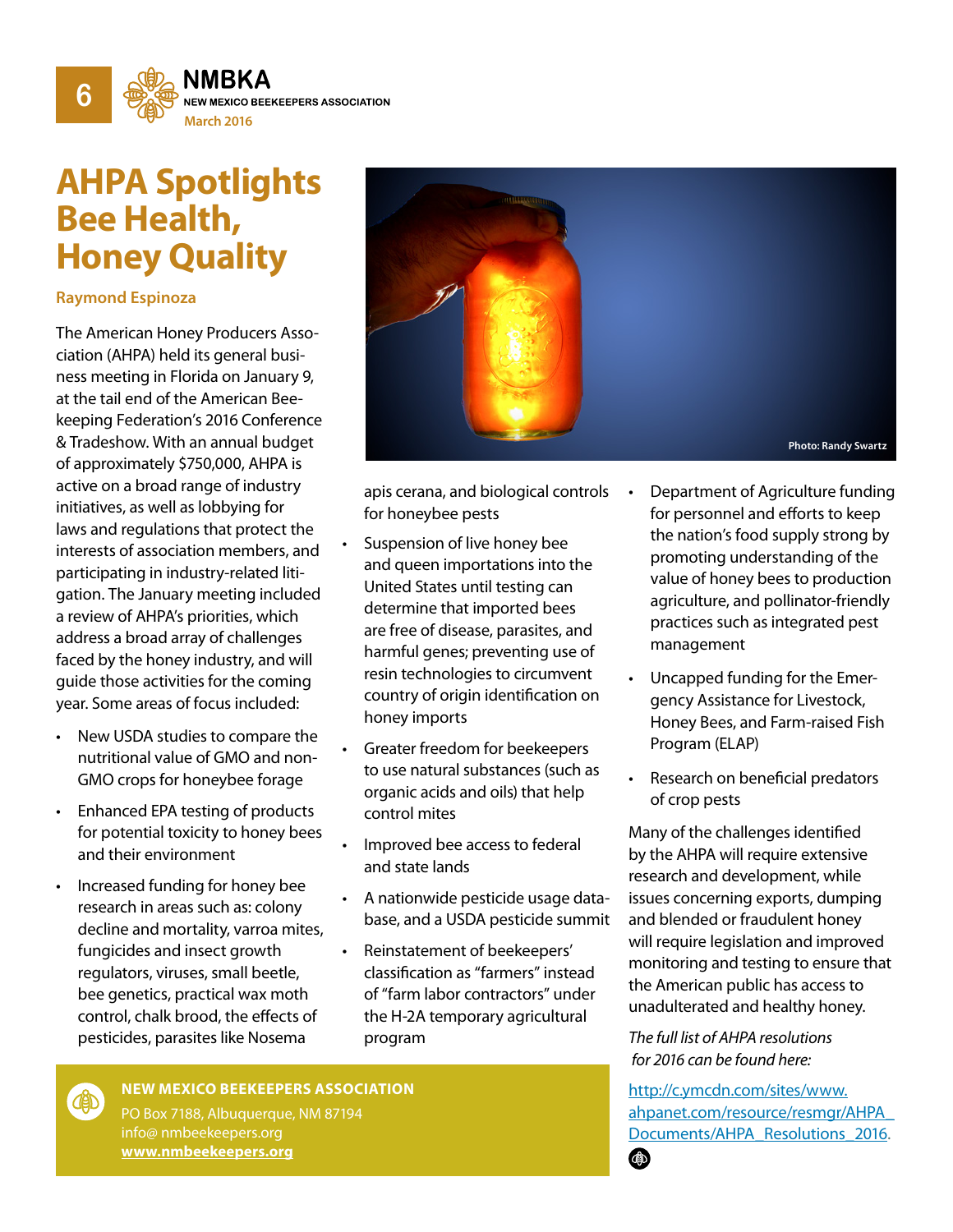

# **AHPA Spotlights Bee Health, Honey Quality**

#### **Raymond Espinoza**

The American Honey Producers Association (AHPA) held its general business meeting in Florida on January 9, at the tail end of the American Beekeeping Federation's 2016 Conference & Tradeshow. With an annual budget of approximately \$750,000, AHPA is active on a broad range of industry initiatives, as well as lobbying for laws and regulations that protect the interests of association members, and participating in industry-related litigation. The January meeting included a review of AHPA's priorities, which address a broad array of challenges faced by the honey industry, and will guide those activities for the coming year. Some areas of focus included:

- New USDA studies to compare the nutritional value of GMO and non-GMO crops for honeybee forage
- Enhanced EPA testing of products for potential toxicity to honey bees and their environment
- Increased funding for honey bee research in areas such as: colony decline and mortality, varroa mites, fungicides and insect growth regulators, viruses, small beetle, bee genetics, practical wax moth control, chalk brood, the effects of pesticides, parasites like Nosema

**COD** 



apis cerana, and biological controls for honeybee pests

- Suspension of live honey bee and queen importations into the United States until testing can determine that imported bees are free of disease, parasites, and harmful genes; preventing use of resin technologies to circumvent country of origin identification on honey imports
- Greater freedom for beekeepers to use natural substances (such as organic acids and oils) that help control mites
- Improved bee access to federal and state lands
- A nationwide pesticide usage database, and a USDA pesticide summit
- Reinstatement of beekeepers' classification as "farmers" instead of "farm labor contractors" under the H-2A temporary agricultural program
- Department of Agriculture funding for personnel and efforts to keep the nation's food supply strong by promoting understanding of the value of honey bees to production agriculture, and pollinator-friendly practices such as integrated pest management
- Uncapped funding for the Emergency Assistance for Livestock, Honey Bees, and Farm-raised Fish Program (ELAP)
- Research on beneficial predators of crop pests

Many of the challenges identified by the AHPA will require extensive research and development, while issues concerning exports, dumping and blended or fraudulent honey will require legislation and improved monitoring and testing to ensure that the American public has access to unadulterated and healthy honey.

*The full list of AHPA resolutions for 2016 can be found here:*

[http://c.ymcdn.com/sites/www.](http://c.ymcdn.com/sites/www.ahpanet.com/resource/resmgr/AHPA_Documents/AHPA_Resolutions_2016.pdf) [ahpanet.com/resource/resmgr/AHPA\\_](http://c.ymcdn.com/sites/www.ahpanet.com/resource/resmgr/AHPA_Documents/AHPA_Resolutions_2016.pdf) [Documents/AHPA\\_Resolutions\\_2016](http://c.ymcdn.com/sites/www.ahpanet.com/resource/resmgr/AHPA_Documents/AHPA_Resolutions_2016.pdf).

#### **NEW MEXICO BEEKEEPERS ASSOCIATION**

PO Box 7188, Albuquerque, NM 87194 info@ nmbeekeepers.org **[www.nmbeekeepers.org](http://nmbeekeepers.org/)**

 $\bigcirc$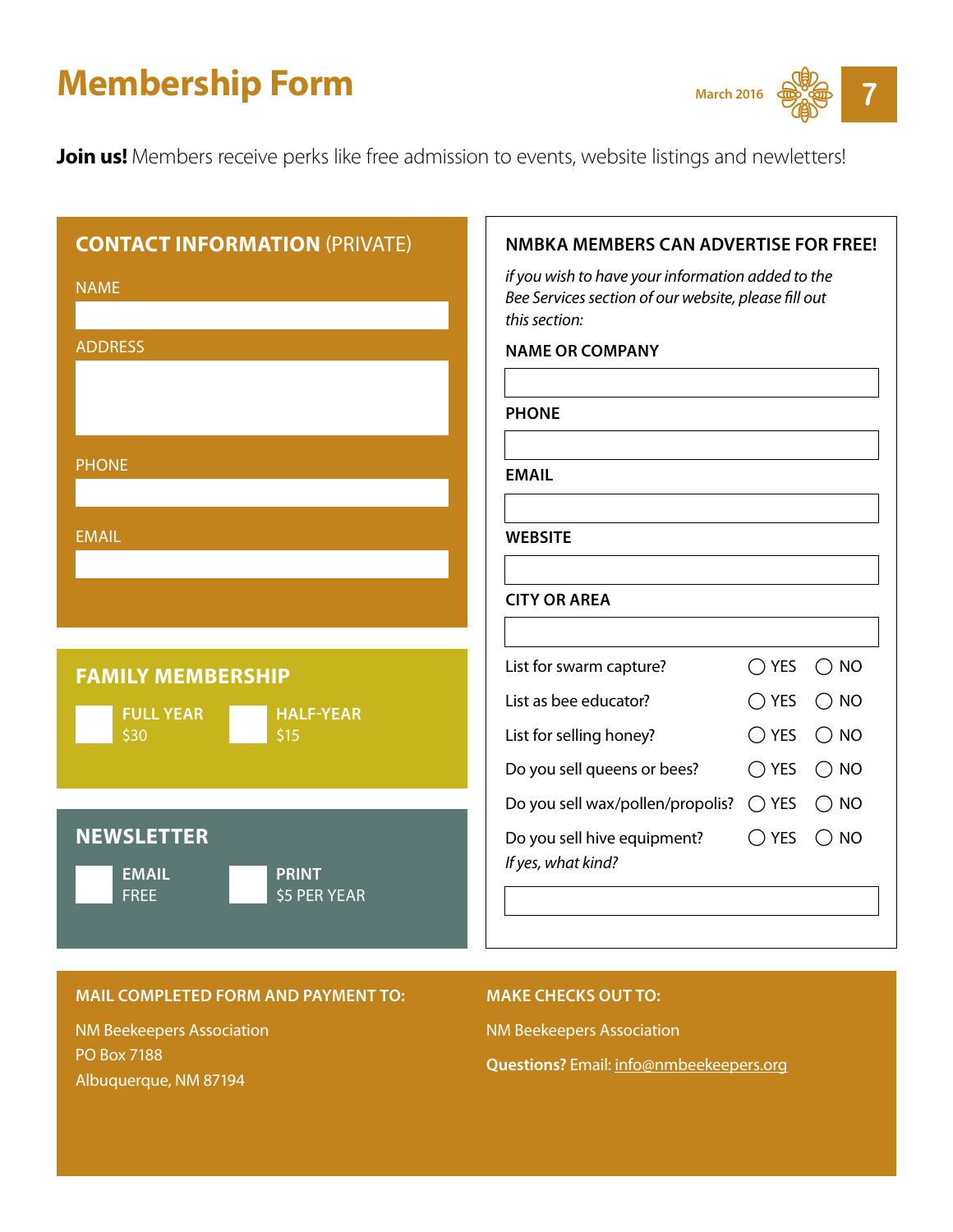# **Membership Form** March 2016



**Join us!** Members receive perks like free admission to events, website listings and newletters!

| <b>CONTACT INFORMATION (PRIVATE)</b><br><b>NAME</b><br><b>ADDRESS</b>            | <b>NMBKA MEMBERS CAN ADVERTISE FOR FREE!</b><br>if you wish to have your information added to the<br>Bee Services section of our website, please fill out<br>this section:<br><b>NAME OR COMPANY</b><br><b>PHONE</b>                                                                                                          |
|----------------------------------------------------------------------------------|-------------------------------------------------------------------------------------------------------------------------------------------------------------------------------------------------------------------------------------------------------------------------------------------------------------------------------|
| <b>PHONE</b><br><b>EMAIL</b>                                                     | <b>EMAIL</b><br><b>WEBSITE</b><br><b>CITY OR AREA</b>                                                                                                                                                                                                                                                                         |
| <b>FAMILY MEMBERSHIP</b><br><b>FULL YEAR</b><br><b>HALF-YEAR</b><br>\$30<br>\$15 | List for swarm capture?<br>$\bigcirc$ YES<br>$\bigcirc$ NO<br>List as bee educator?<br>$\bigcirc$ YES<br>$\bigcirc$ NO<br>List for selling honey?<br>$\bigcirc$ YES<br>$\bigcirc$ NO<br>Do you sell queens or bees?<br>$\bigcirc$ YES<br>$\bigcirc$ NO<br>Do you sell wax/pollen/propolis?<br>$\bigcirc$ NO<br>$\bigcirc$ YES |
| <b>NEWSLETTER</b><br><b>EMAIL</b><br><b>PRINT</b><br><b>FREE</b><br>\$5 PER YEAR | Do you sell hive equipment?<br>$\bigcirc$ YES<br>$\bigcirc$ NO<br>If yes, what kind?                                                                                                                                                                                                                                          |

#### **MAIL COMPLETED FORM AND PAYMENT TO:**

NM Beekeepers Association PO Box 7188 Albuquerque, NM 87194

#### **MAKE CHECKS OUT TO:**

NM Beekeepers Association

**Questions?** Email: [info@nmbeekeepers.org](mailto:info%40nmbeekeepers.org?subject=)